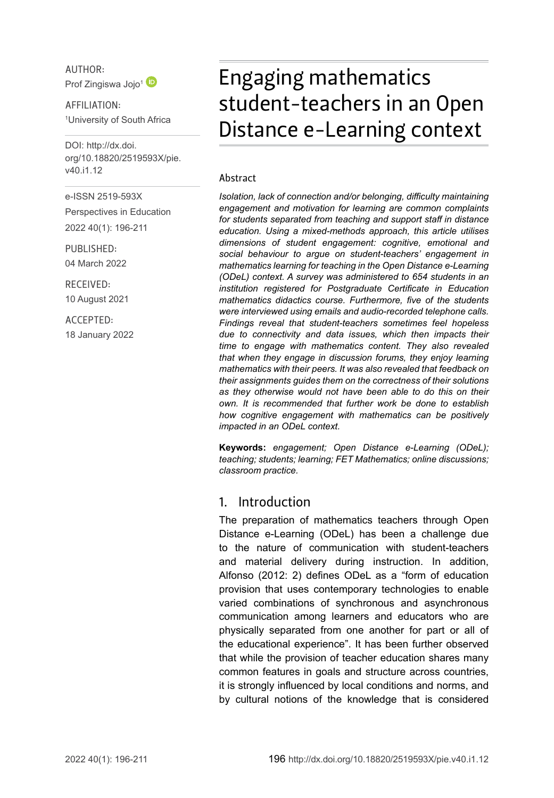

AFFILIATION: 1 University of South Africa

DOI: [http://dx.doi.](http://dx.doi.org/10.18820/2519593X/pie.v40.i1.12) [org/10.18820/2519593X/p](http://dx.doi.org/10.18820/2519593X/pie.v40.i1.12)ie. v40.i1.12

e-ISSN 2519-593X Perspectives in Education 2022 40(1): 196-211

PUBLISHED: 04 March 2022

RECEIVED: 10 August 2021

ACCEPTED: 18 January 2022

# Engaging mathematics student-teachers in an Open Distance e-Learning context

#### Abstract

*Isolation, lack of connection and/or belonging, difficulty maintaining engagement and motivation for learning are common complaints for students separated from teaching and support staff in distance education. Using a mixed-methods approach, this article utilises dimensions of student engagement: cognitive, emotional and social behaviour to argue on student-teachers' engagement in mathematics learning for teaching in the Open Distance e-Learning (ODeL) context. A survey was administered to 654 students in an institution registered for Postgraduate Certificate in Education mathematics didactics course. Furthermore, five of the students were interviewed using emails and audio-recorded telephone calls. Findings reveal that student-teachers sometimes feel hopeless due to connectivity and data issues, which then impacts their time to engage with mathematics content. They also revealed that when they engage in discussion forums, they enjoy learning mathematics with their peers. It was also revealed that feedback on their assignments guides them on the correctness of their solutions as they otherwise would not have been able to do this on their own. It is recommended that further work be done to establish how cognitive engagement with mathematics can be positively impacted in an ODeL context.*

**Keywords:** *engagement; Open Distance e-Learning (ODeL); teaching; students; learning; FET Mathematics; online discussions; classroom practice.*

#### 1. Introduction

The preparation of mathematics teachers through Open Distance e-Learning (ODeL) has been a challenge due to the nature of communication with student-teachers and material delivery during instruction. In addition, Alfonso (2012: 2) defines ODeL as a "form of education provision that uses contemporary technologies to enable varied combinations of synchronous and asynchronous communication among learners and educators who are physically separated from one another for part or all of the educational experience". It has been further observed that while the provision of teacher education shares many common features in goals and structure across countries, it is strongly influenced by local conditions and norms, and by cultural notions of the knowledge that is considered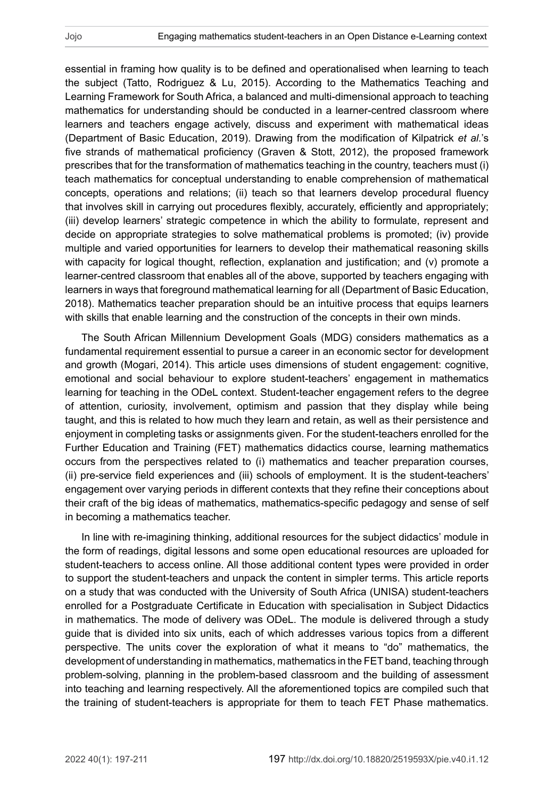essential in framing how quality is to be defined and operationalised when learning to teach the subject (Tatto, Rodriguez & Lu, 2015). According to the Mathematics Teaching and Learning Framework for South Africa, a balanced and multi-dimensional approach to teaching mathematics for understanding should be conducted in a learner-centred classroom where learners and teachers engage actively, discuss and experiment with mathematical ideas (Department of Basic Education, 2019). Drawing from the modification of Kilpatrick *et al.*'s five strands of mathematical proficiency (Graven & Stott, 2012), the proposed framework prescribes that for the transformation of mathematics teaching in the country, teachers must (i) teach mathematics for conceptual understanding to enable comprehension of mathematical concepts, operations and relations; (ii) teach so that learners develop procedural fluency that involves skill in carrying out procedures flexibly, accurately, efficiently and appropriately; (iii) develop learners' strategic competence in which the ability to formulate, represent and decide on appropriate strategies to solve mathematical problems is promoted; (iv) provide multiple and varied opportunities for learners to develop their mathematical reasoning skills with capacity for logical thought, reflection, explanation and justification; and (v) promote a learner-centred classroom that enables all of the above, supported by teachers engaging with learners in ways that foreground mathematical learning for all (Department of Basic Education, 2018). Mathematics teacher preparation should be an intuitive process that equips learners with skills that enable learning and the construction of the concepts in their own minds.

The South African Millennium Development Goals (MDG) considers mathematics as a fundamental requirement essential to pursue a career in an economic sector for development and growth (Mogari, 2014). This article uses dimensions of student engagement: cognitive, emotional and social behaviour to explore student-teachers' engagement in mathematics learning for teaching in the ODeL context. Student-teacher engagement refers to the degree of attention, curiosity, involvement, optimism and passion that they display while being taught, and this is related to how much they learn and retain, as well as their persistence and enjoyment in completing tasks or assignments given. For the student-teachers enrolled for the Further Education and Training (FET) mathematics didactics course, learning mathematics occurs from the perspectives related to (i) mathematics and teacher preparation courses, (ii) pre-service field experiences and (iii) schools of employment. It is the student-teachers' engagement over varying periods in different contexts that they refine their conceptions about their craft of the big ideas of mathematics, mathematics-specific pedagogy and sense of self in becoming a mathematics teacher.

In line with re-imagining thinking, additional resources for the subject didactics' module in the form of readings, digital lessons and some open educational resources are uploaded for student-teachers to access online. All those additional content types were provided in order to support the student-teachers and unpack the content in simpler terms. This article reports on a study that was conducted with the University of South Africa (UNISA) student-teachers enrolled for a Postgraduate Certificate in Education with specialisation in Subject Didactics in mathematics. The mode of delivery was ODeL. The module is delivered through a study guide that is divided into six units, each of which addresses various topics from a different perspective. The units cover the exploration of what it means to "do" mathematics, the development of understanding in mathematics, mathematics in the FET band, teaching through problem-solving, planning in the problem-based classroom and the building of assessment into teaching and learning respectively. All the aforementioned topics are compiled such that the training of student-teachers is appropriate for them to teach FET Phase mathematics.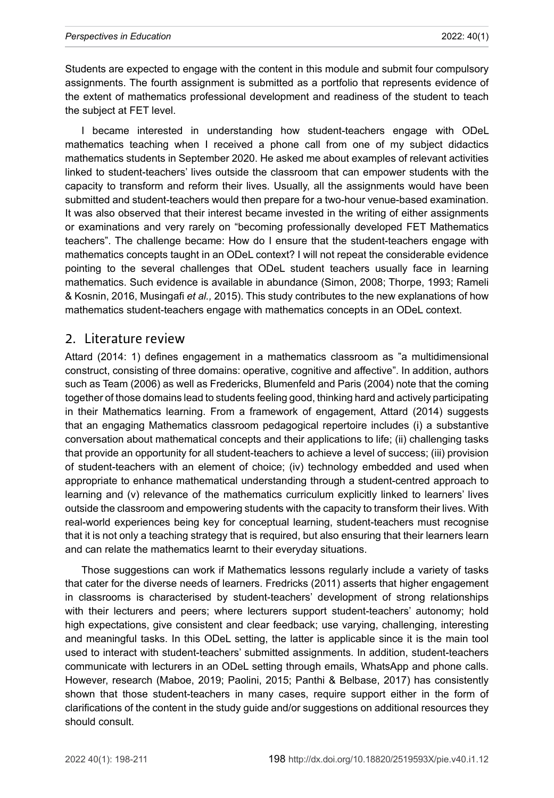Students are expected to engage with the content in this module and submit four compulsory assignments. The fourth assignment is submitted as a portfolio that represents evidence of the extent of mathematics professional development and readiness of the student to teach the subject at FET level.

I became interested in understanding how student-teachers engage with ODeL mathematics teaching when I received a phone call from one of my subject didactics mathematics students in September 2020. He asked me about examples of relevant activities linked to student-teachers' lives outside the classroom that can empower students with the capacity to transform and reform their lives. Usually, all the assignments would have been submitted and student-teachers would then prepare for a two-hour venue-based examination. It was also observed that their interest became invested in the writing of either assignments or examinations and very rarely on "becoming professionally developed FET Mathematics teachers". The challenge became: How do I ensure that the student-teachers engage with mathematics concepts taught in an ODeL context? I will not repeat the considerable evidence pointing to the several challenges that ODeL student teachers usually face in learning mathematics. Such evidence is available in abundance (Simon, 2008; Thorpe, 1993; Rameli & Kosnin, 2016, Musingafi *et al.,* 2015). This study contributes to the new explanations of how mathematics student-teachers engage with mathematics concepts in an ODeL context.

#### 2. Literature review

Attard (2014: 1) defines engagement in a mathematics classroom as "a multidimensional construct, consisting of three domains: operative, cognitive and affective". In addition, authors such as Team (2006) as well as Fredericks, Blumenfeld and Paris (2004) note that the coming together of those domains lead to students feeling good, thinking hard and actively participating in their Mathematics learning. From a framework of engagement, Attard (2014) suggests that an engaging Mathematics classroom pedagogical repertoire includes (i) a substantive conversation about mathematical concepts and their applications to life; (ii) challenging tasks that provide an opportunity for all student-teachers to achieve a level of success; (iii) provision of student-teachers with an element of choice; (iv) technology embedded and used when appropriate to enhance mathematical understanding through a student-centred approach to learning and (v) relevance of the mathematics curriculum explicitly linked to learners' lives outside the classroom and empowering students with the capacity to transform their lives. With real-world experiences being key for conceptual learning, student-teachers must recognise that it is not only a teaching strategy that is required, but also ensuring that their learners learn and can relate the mathematics learnt to their everyday situations.

Those suggestions can work if Mathematics lessons regularly include a variety of tasks that cater for the diverse needs of learners. Fredricks (2011) asserts that higher engagement in classrooms is characterised by student-teachers' development of strong relationships with their lecturers and peers; where lecturers support student-teachers' autonomy; hold high expectations, give consistent and clear feedback; use varying, challenging, interesting and meaningful tasks. In this ODeL setting, the latter is applicable since it is the main tool used to interact with student-teachers' submitted assignments. In addition, student-teachers communicate with lecturers in an ODeL setting through emails, WhatsApp and phone calls. However, research (Maboe, 2019; Paolini, 2015; Panthi & Belbase, 2017) has consistently shown that those student-teachers in many cases, require support either in the form of clarifications of the content in the study guide and/or suggestions on additional resources they should consult.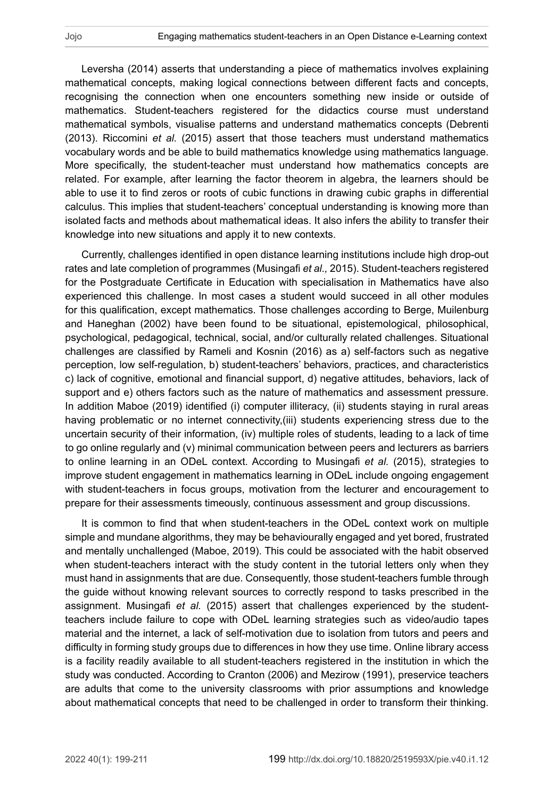Leversha (2014) asserts that understanding a piece of mathematics involves explaining mathematical concepts, making logical connections between different facts and concepts, recognising the connection when one encounters something new inside or outside of mathematics. Student-teachers registered for the didactics course must understand mathematical symbols, visualise patterns and understand mathematics concepts (Debrenti (2013). Riccomini *et al.* (2015) assert that those teachers must understand mathematics vocabulary words and be able to build mathematics knowledge using mathematics language. More specifically, the student-teacher must understand how mathematics concepts are related. For example, after learning the factor theorem in algebra, the learners should be able to use it to find zeros or roots of cubic functions in drawing cubic graphs in differential calculus. This implies that student-teachers' conceptual understanding is knowing more than isolated facts and methods about mathematical ideas. It also infers the ability to transfer their knowledge into new situations and apply it to new contexts.

Currently, challenges identified in open distance learning institutions include high drop-out rates and late completion of programmes (Musingafi *et al.,* 2015). Student-teachers registered for the Postgraduate Certificate in Education with specialisation in Mathematics have also experienced this challenge. In most cases a student would succeed in all other modules for this qualification, except mathematics. Those challenges according to Berge, Muilenburg and Haneghan (2002) have been found to be situational, epistemological, philosophical, psychological, pedagogical, technical, social, and/or culturally related challenges. Situational challenges are classified by Rameli and Kosnin (2016) as a) self-factors such as negative perception, low self-regulation, b) student-teachers' behaviors, practices, and characteristics c) lack of cognitive, emotional and financial support, d) negative attitudes, behaviors, lack of support and e) others factors such as the nature of mathematics and assessment pressure. In addition Maboe (2019) identified (i) computer illiteracy, (ii) students staying in rural areas having problematic or no internet connectivity,(iii) students experiencing stress due to the uncertain security of their information, (iv) multiple roles of students, leading to a lack of time to go online regularly and (v) minimal communication between peers and lecturers as barriers to online learning in an ODeL context. According to Musingafi *et al.* (2015), strategies to improve student engagement in mathematics learning in ODeL include ongoing engagement with student-teachers in focus groups, motivation from the lecturer and encouragement to prepare for their assessments timeously, continuous assessment and group discussions.

It is common to find that when student-teachers in the ODeL context work on multiple simple and mundane algorithms, they may be behaviourally engaged and yet bored, frustrated and mentally unchallenged (Maboe, 2019). This could be associated with the habit observed when student-teachers interact with the study content in the tutorial letters only when they must hand in assignments that are due. Consequently, those student-teachers fumble through the guide without knowing relevant sources to correctly respond to tasks prescribed in the assignment. Musingafi *et al.* (2015) assert that challenges experienced by the studentteachers include failure to cope with ODeL learning strategies such as video/audio tapes material and the internet, a lack of self-motivation due to isolation from tutors and peers and difficulty in forming study groups due to differences in how they use time. Online library access is a facility readily available to all student-teachers registered in the institution in which the study was conducted. According to Cranton (2006) and Mezirow (1991), preservice teachers are adults that come to the university classrooms with prior assumptions and knowledge about mathematical concepts that need to be challenged in order to transform their thinking.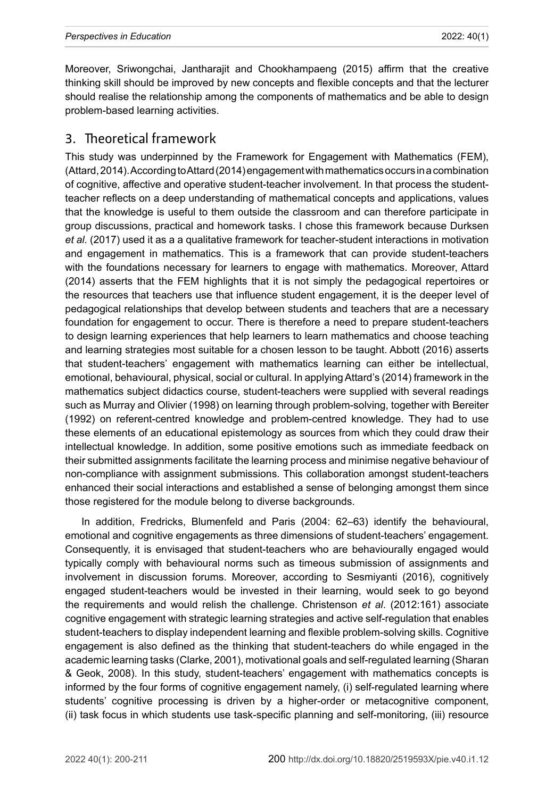Moreover, Sriwongchai, Jantharajit and Chookhampaeng (2015) affirm that the creative thinking skill should be improved by new concepts and flexible concepts and that the lecturer should realise the relationship among the components of mathematics and be able to design problem-based learning activities.

## 3. Theoretical framework

This study was underpinned by the Framework for Engagement with Mathematics (FEM), (Attard, 2014). According to Attard (2014) engagement with mathematics occurs in a combination of cognitive, affective and operative student-teacher involvement. In that process the studentteacher reflects on a deep understanding of mathematical concepts and applications, values that the knowledge is useful to them outside the classroom and can therefore participate in group discussions, practical and homework tasks. I chose this framework because Durksen *et al.* (2017) used it as a a qualitative framework for teacher-student interactions in motivation and engagement in mathematics. This is a framework that can provide student-teachers with the foundations necessary for learners to engage with mathematics. Moreover, Attard (2014) asserts that the FEM highlights that it is not simply the pedagogical repertoires or the resources that teachers use that influence student engagement, it is the deeper level of pedagogical relationships that develop between students and teachers that are a necessary foundation for engagement to occur. There is therefore a need to prepare student-teachers to design learning experiences that help learners to learn mathematics and choose teaching and learning strategies most suitable for a chosen lesson to be taught. Abbott (2016) asserts that student-teachers' engagement with mathematics learning can either be intellectual, emotional, behavioural, physical, social or cultural. In applying Attard's (2014) framework in the mathematics subject didactics course, student-teachers were supplied with several readings such as Murray and Olivier (1998) on learning through problem-solving, together with Bereiter (1992) on referent-centred knowledge and problem-centred knowledge. They had to use these elements of an educational epistemology as sources from which they could draw their intellectual knowledge. In addition, some positive emotions such as immediate feedback on their submitted assignments facilitate the learning process and minimise negative behaviour of non-compliance with assignment submissions. This collaboration amongst student-teachers enhanced their social interactions and established a sense of belonging amongst them since those registered for the module belong to diverse backgrounds.

In addition, Fredricks, Blumenfeld and Paris (2004: 62–63) identify the behavioural, emotional and cognitive engagements as three dimensions of student-teachers' engagement. Consequently, it is envisaged that student-teachers who are behaviourally engaged would typically comply with behavioural norms such as timeous submission of assignments and involvement in discussion forums. Moreover, according to Sesmiyanti (2016), cognitively engaged student-teachers would be invested in their learning, would seek to go beyond the requirements and would relish the challenge. Christenson *et al*. (2012:161) associate cognitive engagement with strategic learning strategies and active self-regulation that enables student-teachers to display independent learning and flexible problem-solving skills. Cognitive engagement is also defined as the thinking that student-teachers do while engaged in the academic learning tasks (Clarke, 2001), motivational goals and self-regulated learning (Sharan & Geok, 2008). In this study, student-teachers' engagement with mathematics concepts is informed by the four forms of cognitive engagement namely, (i) self-regulated learning where students' cognitive processing is driven by a higher-order or metacognitive component, (ii) task focus in which students use task-specific planning and self-monitoring, (iii) resource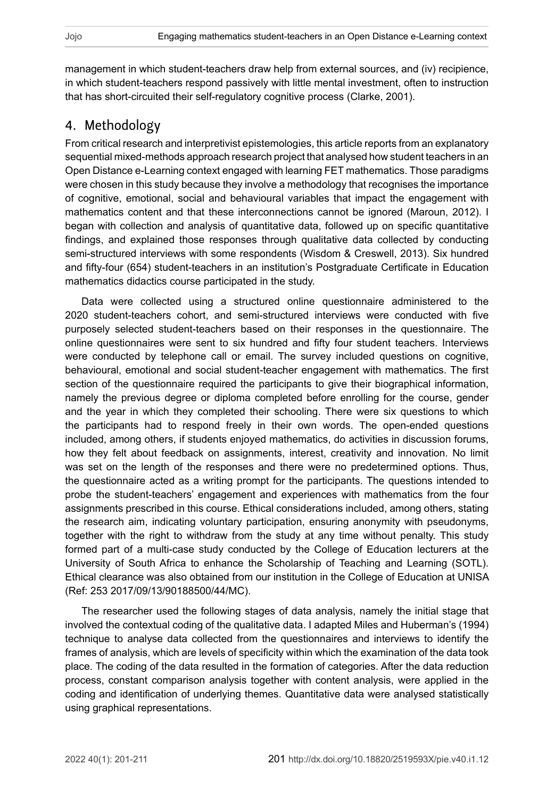management in which student-teachers draw help from external sources, and (iv) recipience, in which student-teachers respond passively with little mental investment, often to instruction that has short-circuited their self-regulatory cognitive process (Clarke, 2001).

## 4. Methodology

From critical research and interpretivist epistemologies, this article reports from an explanatory sequential mixed-methods approach research project that analysed how student teachers in an Open Distance e-Learning context engaged with learning FET mathematics. Those paradigms were chosen in this study because they involve a methodology that recognises the importance of cognitive, emotional, social and behavioural variables that impact the engagement with mathematics content and that these interconnections cannot be ignored (Maroun, 2012). I began with collection and analysis of quantitative data, followed up on specific quantitative findings, and explained those responses through qualitative data collected by conducting semi-structured interviews with some respondents (Wisdom & Creswell, 2013). Six hundred and fifty-four (654) student-teachers in an institution's Postgraduate Certificate in Education mathematics didactics course participated in the study.

Data were collected using a structured online questionnaire administered to the 2020 student-teachers cohort, and semi-structured interviews were conducted with five purposely selected student-teachers based on their responses in the questionnaire. The online questionnaires were sent to six hundred and fifty four student teachers. Interviews were conducted by telephone call or email. The survey included questions on cognitive, behavioural, emotional and social student-teacher engagement with mathematics. The first section of the questionnaire required the participants to give their biographical information, namely the previous degree or diploma completed before enrolling for the course, gender and the year in which they completed their schooling. There were six questions to which the participants had to respond freely in their own words. The open-ended questions included, among others, if students enjoyed mathematics, do activities in discussion forums, how they felt about feedback on assignments, interest, creativity and innovation. No limit was set on the length of the responses and there were no predetermined options. Thus, the questionnaire acted as a writing prompt for the participants. The questions intended to probe the student-teachers' engagement and experiences with mathematics from the four assignments prescribed in this course. Ethical considerations included, among others, stating the research aim, indicating voluntary participation, ensuring anonymity with pseudonyms, together with the right to withdraw from the study at any time without penalty. This study formed part of a multi-case study conducted by the College of Education lecturers at the University of South Africa to enhance the Scholarship of Teaching and Learning (SOTL). Ethical clearance was also obtained from our institution in the College of Education at UNISA (Ref: 253 2017/09/13/90188500/44/MC).

The researcher used the following stages of data analysis, namely the initial stage that involved the contextual coding of the qualitative data. I adapted Miles and Huberman's (1994) technique to analyse data collected from the questionnaires and interviews to identify the frames of analysis, which are levels of specificity within which the examination of the data took place. The coding of the data resulted in the formation of categories. After the data reduction process, constant comparison analysis together with content analysis, were applied in the coding and identification of underlying themes. Quantitative data were analysed statistically using graphical representations.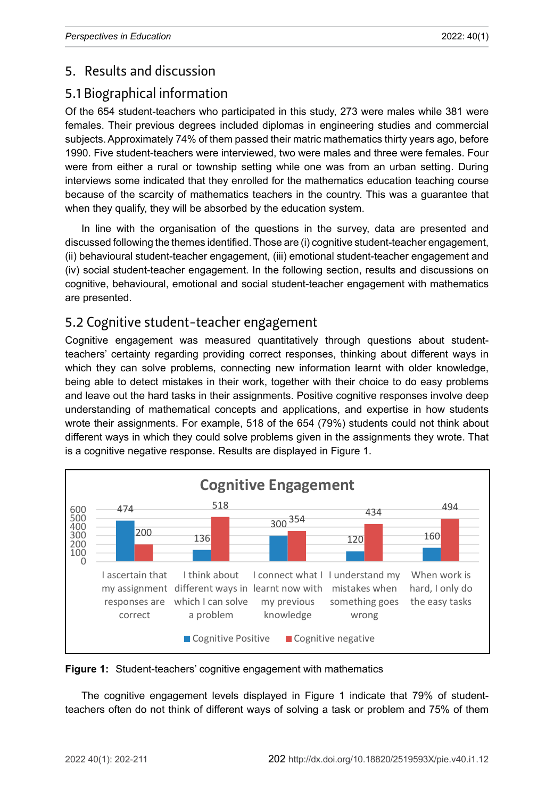## 5. Results and discussion

## 5.1 Biographical information

Of the 654 student-teachers who participated in this study, 273 were males while 381 were females. Their previous degrees included diplomas in engineering studies and commercial subjects. Approximately 74% of them passed their matric mathematics thirty years ago, before 1990. Five student-teachers were interviewed, two were males and three were females. Four were from either a rural or township setting while one was from an urban setting. During interviews some indicated that they enrolled for the mathematics education teaching course because of the scarcity of mathematics teachers in the country. This was a guarantee that when they qualify, they will be absorbed by the education system.

In line with the organisation of the questions in the survey, data are presented and discussed following the themes identified. Those are (i) cognitive student-teacher engagement, (ii) behavioural student-teacher engagement, (iii) emotional student-teacher engagement and (iv) social student-teacher engagement. In the following section, results and discussions on cognitive, behavioural, emotional and social student-teacher engagement with mathematics are presented.

## 5.2 Cognitive student-teacher engagement

Cognitive engagement was measured quantitatively through questions about studentteachers' certainty regarding providing correct responses, thinking about different ways in which they can solve problems, connecting new information learnt with older knowledge, being able to detect mistakes in their work, together with their choice to do easy problems and leave out the hard tasks in their assignments. Positive cognitive responses involve deep understanding of mathematical concepts and applications, and expertise in how students wrote their assignments. For example, 518 of the 654 (79%) students could not think about different ways in which they could solve problems given in the assignments they wrote. That is a cognitive negative response. Results are displayed in Figure 1.



**Figure 1:** Student-teachers' cognitive engagement with mathematics

The cognitive engagement levels displayed in Figure 1 indicate that 79% of studentteachers often do not think of different ways of solving a task or problem and 75% of them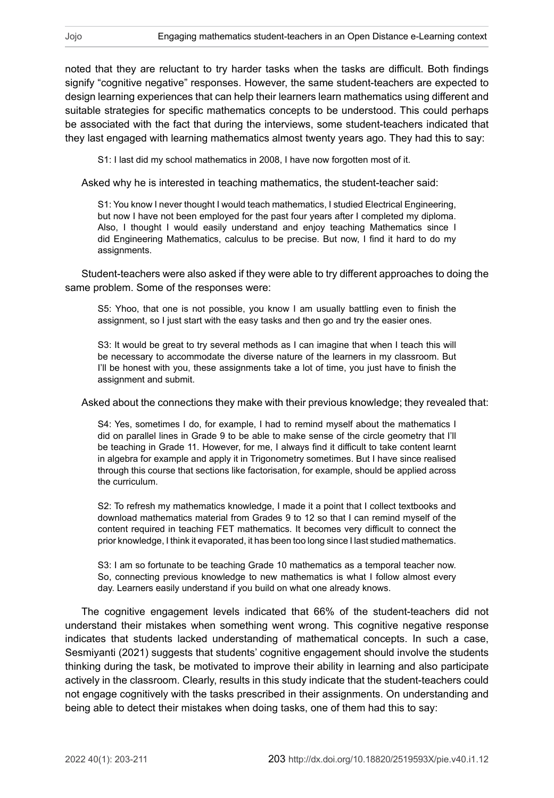noted that they are reluctant to try harder tasks when the tasks are difficult. Both findings signify "cognitive negative" responses. However, the same student-teachers are expected to design learning experiences that can help their learners learn mathematics using different and suitable strategies for specific mathematics concepts to be understood. This could perhaps be associated with the fact that during the interviews, some student-teachers indicated that they last engaged with learning mathematics almost twenty years ago. They had this to say:

S1: I last did my school mathematics in 2008, I have now forgotten most of it.

Asked why he is interested in teaching mathematics, the student-teacher said:

S1: You know I never thought I would teach mathematics, I studied Electrical Engineering, but now I have not been employed for the past four years after I completed my diploma. Also, I thought I would easily understand and enjoy teaching Mathematics since I did Engineering Mathematics, calculus to be precise. But now, I find it hard to do my assignments.

Student-teachers were also asked if they were able to try different approaches to doing the same problem. Some of the responses were:

S5: Yhoo, that one is not possible, you know I am usually battling even to finish the assignment, so I just start with the easy tasks and then go and try the easier ones.

S3: It would be great to try several methods as I can imagine that when I teach this will be necessary to accommodate the diverse nature of the learners in my classroom. But I'll be honest with you, these assignments take a lot of time, you just have to finish the assignment and submit.

Asked about the connections they make with their previous knowledge; they revealed that:

S4: Yes, sometimes I do, for example, I had to remind myself about the mathematics I did on parallel lines in Grade 9 to be able to make sense of the circle geometry that I'll be teaching in Grade 11. However, for me, I always find it difficult to take content learnt in algebra for example and apply it in Trigonometry sometimes. But I have since realised through this course that sections like factorisation, for example, should be applied across the curriculum.

S2: To refresh my mathematics knowledge, I made it a point that I collect textbooks and download mathematics material from Grades 9 to 12 so that I can remind myself of the content required in teaching FET mathematics. It becomes very difficult to connect the prior knowledge, I think it evaporated, it has been too long since I last studied mathematics.

S3: I am so fortunate to be teaching Grade 10 mathematics as a temporal teacher now. So, connecting previous knowledge to new mathematics is what I follow almost every day. Learners easily understand if you build on what one already knows.

The cognitive engagement levels indicated that 66% of the student-teachers did not understand their mistakes when something went wrong. This cognitive negative response indicates that students lacked understanding of mathematical concepts. In such a case, Sesmiyanti (2021) suggests that students' cognitive engagement should involve the students thinking during the task, be motivated to improve their ability in learning and also participate actively in the classroom. Clearly, results in this study indicate that the student-teachers could not engage cognitively with the tasks prescribed in their assignments. On understanding and being able to detect their mistakes when doing tasks, one of them had this to say: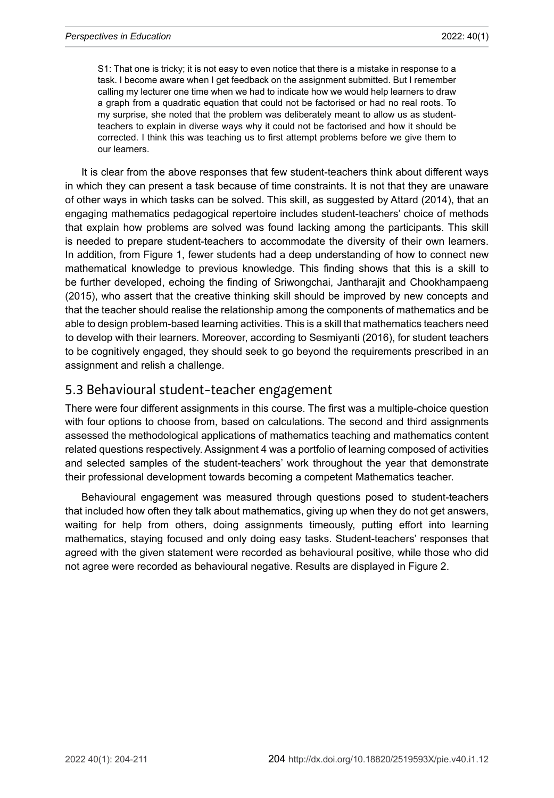S1: That one is tricky; it is not easy to even notice that there is a mistake in response to a task. I become aware when I get feedback on the assignment submitted. But I remember calling my lecturer one time when we had to indicate how we would help learners to draw a graph from a quadratic equation that could not be factorised or had no real roots. To my surprise, she noted that the problem was deliberately meant to allow us as studentteachers to explain in diverse ways why it could not be factorised and how it should be corrected. I think this was teaching us to first attempt problems before we give them to our learners.

It is clear from the above responses that few student-teachers think about different ways in which they can present a task because of time constraints. It is not that they are unaware of other ways in which tasks can be solved. This skill, as suggested by Attard (2014), that an engaging mathematics pedagogical repertoire includes student-teachers' choice of methods that explain how problems are solved was found lacking among the participants. This skill is needed to prepare student-teachers to accommodate the diversity of their own learners. In addition, from Figure 1, fewer students had a deep understanding of how to connect new mathematical knowledge to previous knowledge. This finding shows that this is a skill to be further developed, echoing the finding of Sriwongchai, Jantharajit and Chookhampaeng (2015), who assert that the creative thinking skill should be improved by new concepts and that the teacher should realise the relationship among the components of mathematics and be able to design problem-based learning activities. This is a skill that mathematics teachers need to develop with their learners. Moreover, according to Sesmiyanti (2016), for student teachers to be cognitively engaged, they should seek to go beyond the requirements prescribed in an assignment and relish a challenge.

### 5.3 Behavioural student-teacher engagement

There were four different assignments in this course. The first was a multiple-choice question with four options to choose from, based on calculations. The second and third assignments assessed the methodological applications of mathematics teaching and mathematics content related questions respectively. Assignment 4 was a portfolio of learning composed of activities and selected samples of the student-teachers' work throughout the year that demonstrate their professional development towards becoming a competent Mathematics teacher.

Behavioural engagement was measured through questions posed to student-teachers that included how often they talk about mathematics, giving up when they do not get answers, waiting for help from others, doing assignments timeously, putting effort into learning mathematics, staying focused and only doing easy tasks. Student-teachers' responses that agreed with the given statement were recorded as behavioural positive, while those who did not agree were recorded as behavioural negative. Results are displayed in Figure 2.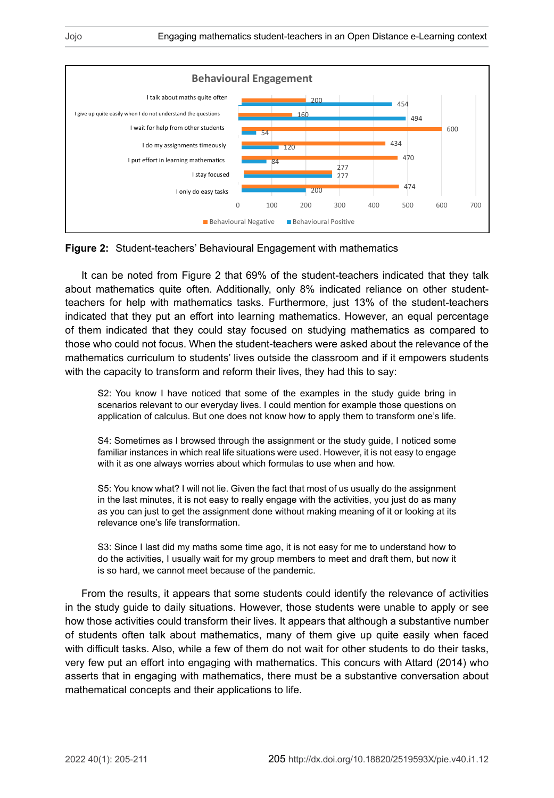

Figure 2: Student-teachers' Behavioural Engagement with mathematics **Figure 2:** Student-teachers' Behavioural Engagement with mathematics

It can be noted from Figure 2 that 69% of the student-teachers indicated that they talk about mathematics quite often. Additionally, only 8% indicated reliance on other studentfor help with mathematics tasks. Furthermore, just 13% of the student-teachers indicated indicated that they put an effort into learning mathematics. However, an equal percentage of them indicated that they could stay focused on studying mathematics as compared to those who could not focus. When the student-teachers were asked about the relevance of the mathematics curriculum to students' lives outside the classroom and if it empowers students with the capacity to transform and reform their lives, they had this to say: teachers for help with mathematics tasks. Furthermore, just 13% of the student-teachers

S2: You know I have noticed that some of the examples in the study guide bring in application of calculus. But one does not know how to apply them to transform one's life. scenarios relevant to our everyday lives. I could mention for example those questions on

S4: Sometimes as I browsed through the assignment or the study guide, I noticed some familiar instances in which real life situations were used. However, it is not easy to engage with it as one always worries about which formulas to use when and how.

S5: You know what? I will not lie. Given the fact that most of us usually do the assignment in the last minutes, it is not easy to really engage with the activities, you just do as many as you can just to get the assignment done without making meaning of it or looking at its relevance one's life transformation.

S3: Since I last did my maths some time ago, it is not easy for me to understand how to do the activities, I usually wait for my group members to meet and draft them, but now it is so hard, we cannot meet because of the pandemic.

From the results, it appears that some students could identify the relevance of activities in the study guide to daily situations. However, those students were unable to apply or see how those activities could transform their lives. It appears that although a substantive number of students often talk about mathematics, many of them give up quite easily when faced with difficult tasks. Also, while a few of them do not wait for other students to do their tasks, very few put an effort into engaging with mathematics. This concurs with Attard (2014) who asserts that in engaging with mathematics, there must be a substantive conversation about mathematical concepts and their applications to life.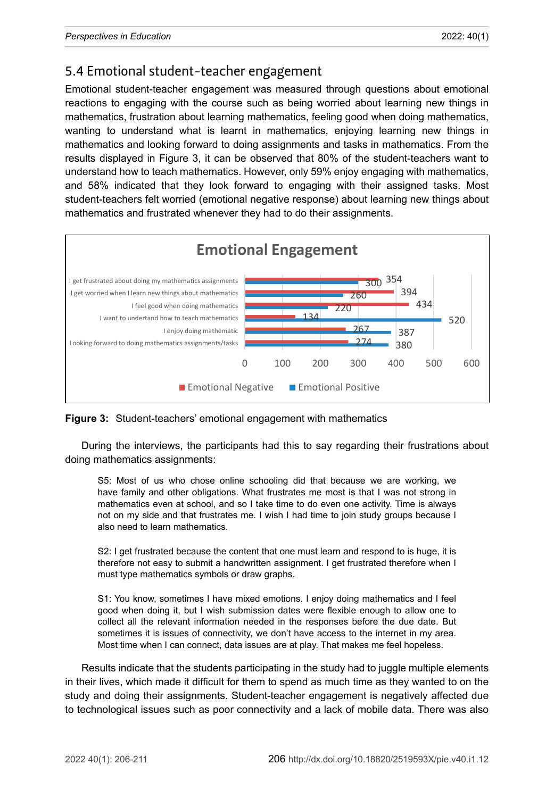## 5.4 Emotional student-teacher engagement

Emotional student-teacher engagement was measured through questions about emotional reactions to engaging with the course such as being worried about learning new things in mathematics, frustration about learning mathematics, feeling good when doing mathematics, wanting to understand what is learnt in mathematics, enjoying learning new things in mathematics and looking forward to doing assignments and tasks in mathematics. From the results displayed in Figure 3, it can be observed that 80% of the student-teachers want to understand how to teach mathematics. However, only 59% enjoy engaging with mathematics, and 58% indicated that they look forward to engaging with their assigned tasks. Most student-teachers felt worried (emotional negative response) about learning new things about mathematics and frustrated whenever they had to do their assignments.



**Figure 3:** Student-teachers' emotional engagement with mathematics

During the interviews, the participants had this to say regarding their frustrations about doing mathematics assignments:

S5: Most of us who chose online schooling did that because we are working, we have family and other obligations. What frustrates me most is that I was not strong in mathematics even at school, and so I take time to do even one activity. Time is always not on my side and that frustrates me. I wish I had time to join study groups because I also need to learn mathematics.

S2: I get frustrated because the content that one must learn and respond to is huge, it is therefore not easy to submit a handwritten assignment. I get frustrated therefore when I must type mathematics symbols or draw graphs.

S1: You know, sometimes I have mixed emotions. I enjoy doing mathematics and I feel good when doing it, but I wish submission dates were flexible enough to allow one to collect all the relevant information needed in the responses before the due date. But sometimes it is issues of connectivity, we don't have access to the internet in my area. Most time when I can connect, data issues are at play. That makes me feel hopeless.

Results indicate that the students participating in the study had to juggle multiple elements in their lives, which made it difficult for them to spend as much time as they wanted to on the study and doing their assignments. Student-teacher engagement is negatively affected due to technological issues such as poor connectivity and a lack of mobile data. There was also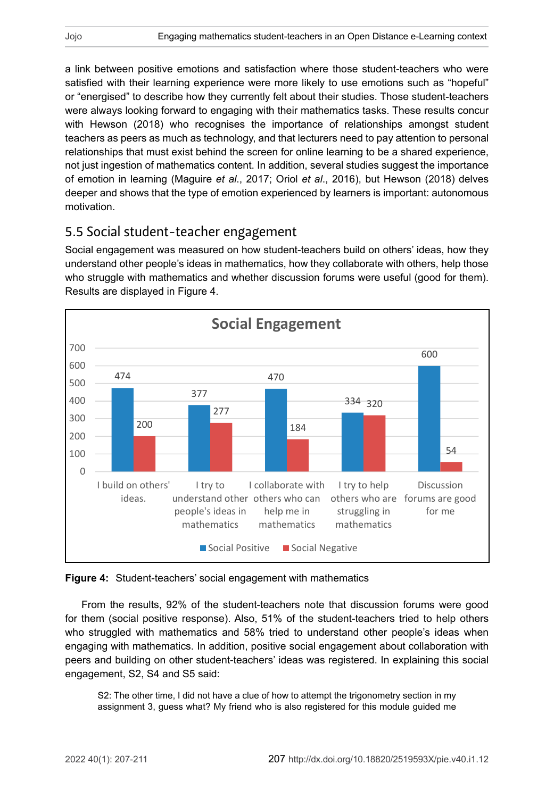a link between positive emotions and satisfaction where those student-teachers who were satisfied with their learning experience were more likely to use emotions such as "hopeful" or "energised" to describe how they currently felt about their studies. Those student-teachers were always looking forward to engaging with their mathematics tasks. These results concur with Hewson (2018) who recognises the importance of relationships amongst student teachers as peers as much as technology, and that lecturers need to pay attention to personal relationships that must exist behind the screen for online learning to be a shared experience, not just ingestion of mathematics content. In addition, several studies suggest the importance of emotion in learning (Maguire *et al*., 2017; Oriol *et al*., 2016), but Hewson (2018) delves deeper and shows that the type of emotion experienced by learners is important: autonomous motivation.

### 5.5 Social student-teacher engagement

Social engagement was measured on how student-teachers build on others' ideas, how they understand other people's ideas in mathematics, how they collaborate with others, help those who struggle with mathematics and whether discussion forums were useful (good for them). Results are displayed in Figure 4.



**Figure 4:** Student-teachers' social engagement with mathematics

From the results, 92% of the student-teachers note that discussion forums were good for them (social positive response). Also, 51% of the student-teachers tried to help others who struggled with mathematics and 58% tried to understand other people's ideas when engaging with mathematics. In addition, positive social engagement about collaboration with peers and building on other student-teachers' ideas was registered. In explaining this social engagement, S2, S4 and S5 said:

S2: The other time, I did not have a clue of how to attempt the trigonometry section in my assignment 3, guess what? My friend who is also registered for this module guided me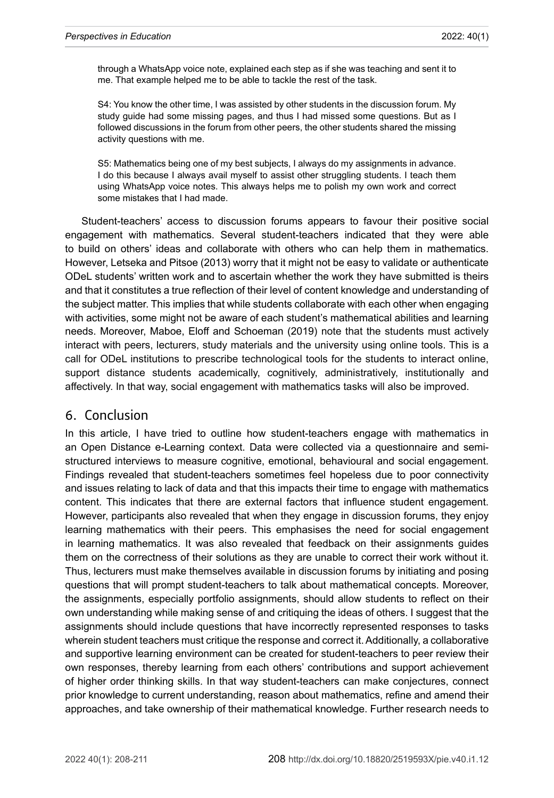through a WhatsApp voice note, explained each step as if she was teaching and sent it to me. That example helped me to be able to tackle the rest of the task.

S4: You know the other time, I was assisted by other students in the discussion forum. My study guide had some missing pages, and thus I had missed some questions. But as I followed discussions in the forum from other peers, the other students shared the missing activity questions with me.

S5: Mathematics being one of my best subjects, I always do my assignments in advance. I do this because I always avail myself to assist other struggling students. I teach them using WhatsApp voice notes. This always helps me to polish my own work and correct some mistakes that I had made.

Student-teachers' access to discussion forums appears to favour their positive social engagement with mathematics. Several student-teachers indicated that they were able to build on others' ideas and collaborate with others who can help them in mathematics. However, Letseka and Pitsoe (2013) worry that it might not be easy to validate or authenticate ODeL students' written work and to ascertain whether the work they have submitted is theirs and that it constitutes a true reflection of their level of content knowledge and understanding of the subject matter. This implies that while students collaborate with each other when engaging with activities, some might not be aware of each student's mathematical abilities and learning needs. Moreover, Maboe, Eloff and Schoeman (2019) note that the students must actively interact with peers, lecturers, study materials and the university using online tools. This is a call for ODeL institutions to prescribe technological tools for the students to interact online, support distance students academically, cognitively, administratively, institutionally and affectively. In that way, social engagement with mathematics tasks will also be improved.

#### 6. Conclusion

In this article, I have tried to outline how student-teachers engage with mathematics in an Open Distance e-Learning context. Data were collected via a questionnaire and semistructured interviews to measure cognitive, emotional, behavioural and social engagement. Findings revealed that student-teachers sometimes feel hopeless due to poor connectivity and issues relating to lack of data and that this impacts their time to engage with mathematics content. This indicates that there are external factors that influence student engagement. However, participants also revealed that when they engage in discussion forums, they enjoy learning mathematics with their peers. This emphasises the need for social engagement in learning mathematics. It was also revealed that feedback on their assignments guides them on the correctness of their solutions as they are unable to correct their work without it. Thus, lecturers must make themselves available in discussion forums by initiating and posing questions that will prompt student-teachers to talk about mathematical concepts. Moreover, the assignments, especially portfolio assignments, should allow students to reflect on their own understanding while making sense of and critiquing the ideas of others. I suggest that the assignments should include questions that have incorrectly represented responses to tasks wherein student teachers must critique the response and correct it. Additionally, a collaborative and supportive learning environment can be created for student-teachers to peer review their own responses, thereby learning from each others' contributions and support achievement of higher order thinking skills. In that way student-teachers can make conjectures, connect prior knowledge to current understanding, reason about mathematics, refine and amend their approaches, and take ownership of their mathematical knowledge. Further research needs to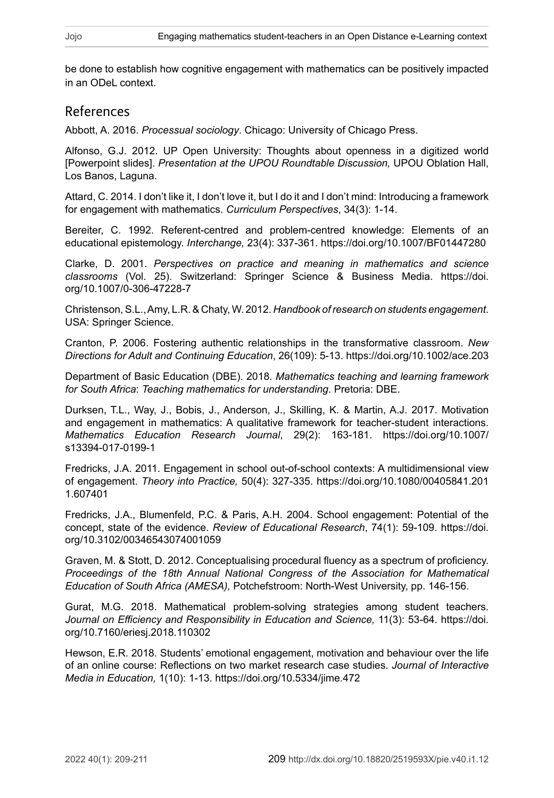be done to establish how cognitive engagement with mathematics can be positively impacted in an ODeL context.

#### References

Abbott, A. 2016. *Processual sociology*. Chicago: University of Chicago Press.

Alfonso, G.J. 2012. UP Open University: Thoughts about openness in a digitized world [Powerpoint slides]. *Presentation at the UPOU Roundtable Discussion,* UPOU Oblation Hall, Los Banos, Laguna.

Attard, C. 2014. I don't like it, I don't love it, but I do it and I don't mind: Introducing a framework for engagement with mathematics. *Curriculum Perspectives*, 34(3): 1-14.

Bereiter, C. 1992. Referent-centred and problem-centred knowledge: Elements of an educational epistemology. *Interchange,* 23(4): 337-361.<https://doi.org/10.1007/BF01447280>

Clarke, D. 2001. *Perspectives on practice and meaning in mathematics and science classrooms* (Vol. 25). Switzerland: Springer Science & Business Media. [https://doi.](https://doi.org/10.1007/0-306-47228-7) [org/10.1007/0-306-47228-7](https://doi.org/10.1007/0-306-47228-7)

Christenson, S.L., Amy, L.R. & Chaty, W. 2012. *Handbook of research on students engagement*. USA: Springer Science.

Cranton, P. 2006. Fostering authentic relationships in the transformative classroom. *New Directions for Adult and Continuing Education*, 26(109): 5-13.<https://doi.org/10.1002/ace.203>

Department of Basic Education (DBE). 2018. *Mathematics teaching and learning framework for South Africa*: *Teaching mathematics for understanding*. Pretoria: DBE.

Durksen, T.L., Way, J., Bobis, J., Anderson, J., Skilling, K. & Martin, A.J. 2017. Motivation and engagement in mathematics: A qualitative framework for teacher-student interactions. *Mathematics Education Research Journal*, 29(2): 163-181. [https://doi.org/10.1007/](https://doi.org/10.1007/s13394-017-0199-1) [s13394-017-0199-1](https://doi.org/10.1007/s13394-017-0199-1)

Fredricks, J.A. 2011. Engagement in school out-of-school contexts: A multidimensional view of engagement. *Theory into Practice,* 50(4): 327-335. [https://doi.org/10.1080/00405841.201](https://doi.org/10.1080/00405841.2011.607401) [1.607401](https://doi.org/10.1080/00405841.2011.607401)

Fredricks, J.A., Blumenfeld, P.C. & Paris, A.H. 2004. School engagement: Potential of the concept, state of the evidence. *Review of Educational Research*, 74(1): 59-109. [https://doi.](https://doi.org/10.3102/00346543074001059) [org/10.3102/00346543074001059](https://doi.org/10.3102/00346543074001059)

Graven, M. & Stott, D. 2012. Conceptualising procedural fluency as a spectrum of proficiency. *Proceedings of the 18th Annual National Congress of the Association for Mathematical Education of South Africa (AMESA),* Potchefstroom: North-West University, pp. 146-156.

Gurat, M.G. 2018. Mathematical problem-solving strategies among student teachers. *Journal on Efficiency and Responsibility in Education and Science,* 11(3): 53-64. [https://doi.](https://doi.org/10.7160/eriesj.2018.110302) [org/10.7160/eriesj.2018.110302](https://doi.org/10.7160/eriesj.2018.110302)

Hewson, E.R. 2018. Students' emotional engagement, motivation and behaviour over the life of an online course: Reflections on two market research case studies. *Journal of Interactive Media in Education,* 1(10): 1-13.<https://doi.org/10.5334/jime.472>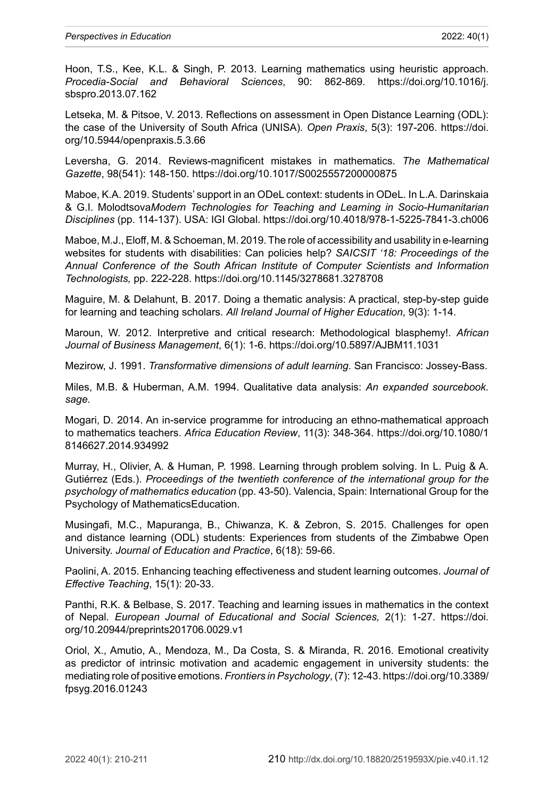Hoon, T.S., Kee, K.L. & Singh, P. 2013. Learning mathematics using heuristic approach. *Procedia-Social and Behavioral Sciences*, 90: 862-869. [https://doi.org/10.1016/j.](https://doi.org/10.1016/j.sbspro.2013.07.162) [sbspro.2013.07.162](https://doi.org/10.1016/j.sbspro.2013.07.162)

Letseka, M. & Pitsoe, V. 2013. Reflections on assessment in Open Distance Learning (ODL): the case of the University of South Africa (UNISA). *Open Praxis*, 5(3): 197-206. [https://doi.](https://doi.org/10.5944/openpraxis.5.3.66) [org/10.5944/openpraxis.5.3.66](https://doi.org/10.5944/openpraxis.5.3.66)

Leversha, G. 2014. Reviews-magnificent mistakes in mathematics. *The Mathematical Gazette*, 98(541): 148-150.<https://doi.org/10.1017/S0025557200000875>

Maboe, K.A. 2019. Students' support in an ODeL context: students in ODeL. In L.A. Darinskaia & G.I. Molodtsova*Modern Technologies for Teaching and Learning in Socio-Humanitarian Disciplines* (pp. 114‑137). USA: IGI Global.<https://doi.org/10.4018/978-1-5225-7841-3.ch006>

Maboe, M.J., Eloff, M. & Schoeman, M. 2019. The role of accessibility and usability in e-learning websites for students with disabilities: Can policies help? *SAICSIT '18: Proceedings of the Annual Conference of the South African Institute of Computer Scientists and Information Technologists,* pp. 222-228.<https://doi.org/10.1145/3278681.3278708>

Maguire, M. & Delahunt, B. 2017. Doing a thematic analysis: A practical, step-by-step guide for learning and teaching scholars. *All Ireland Journal of Higher Education*, 9(3): 1-14.

Maroun, W. 2012. Interpretive and critical research: Methodological blasphemy!. *African Journal of Business Management*, 6(1): 1-6.<https://doi.org/10.5897/AJBM11.1031>

Mezirow, J. 1991. *Transformative dimensions of adult learning*. San Francisco: Jossey-Bass.

Miles, M.B. & Huberman, A.M. 1994. Qualitative data analysis: *An expanded sourcebook. sage.*

Mogari, D. 2014. An in-service programme for introducing an ethno-mathematical approach to mathematics teachers. *Africa Education Review*, 11(3): 348-364. [https://doi.org/10.1080/1](https://doi.org/10.1080/18146627.2014.934992) [8146627.2014.934992](https://doi.org/10.1080/18146627.2014.934992)

Murray, H., Olivier, A. & Human, P. 1998. Learning through problem solving. In L. Puig & A. Gutiérrez (Eds.). *Proceedings of the twentieth conference of the international group for the psychology of mathematics education* (pp. 43‑50). Valencia, Spain: International Group for the Psychology of MathematicsEducation.

Musingafi, M.C., Mapuranga, B., Chiwanza, K. & Zebron, S. 2015. Challenges for open and distance learning (ODL) students: Experiences from students of the Zimbabwe Open University. *Journal of Education and Practice*, 6(18): 59-66.

Paolini, A. 2015. Enhancing teaching effectiveness and student learning outcomes. *Journal of Effective Teaching*, 15(1): 20-33.

Panthi, R.K. & Belbase, S. 2017. Teaching and learning issues in mathematics in the context of Nepal*. European Journal of Educational and Social Sciences,* 2(1): 1-27. [https://doi.](https://doi.org/10.20944/preprints201706.0029.v1) [org/10.20944/preprints201706.0029.v1](https://doi.org/10.20944/preprints201706.0029.v1)

Oriol, X., Amutio, A., Mendoza, M., Da Costa, S. & Miranda, R. 2016. Emotional creativity as predictor of intrinsic motivation and academic engagement in university students: the mediating role of positive emotions. *Frontiers in Psychology*, (7): 12-43. [https://doi.org/10.3389/](https://doi.org/10.3389/fpsyg.2016.01243) [fpsyg.2016.01243](https://doi.org/10.3389/fpsyg.2016.01243)